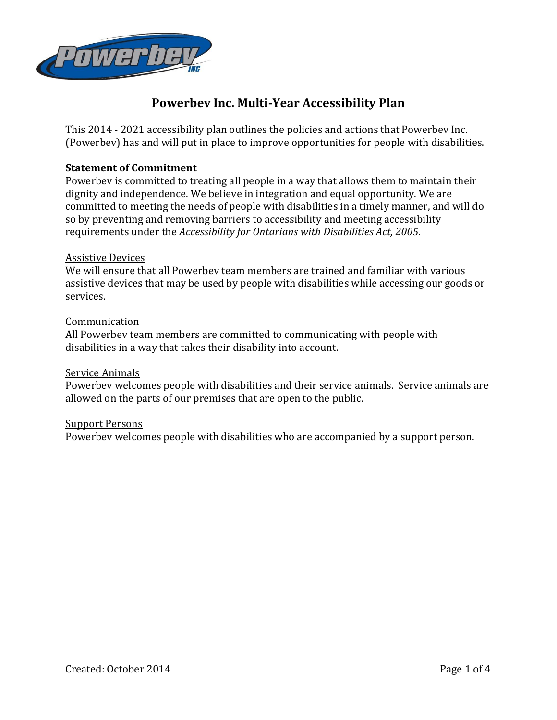

This 2014 - 2021 accessibility plan outlines the policies and actions that Powerbev Inc. (Powerbev) has and will put in place to improve opportunities for people with disabilities.

## **Statement of Commitment**

Powerbev is committed to treating all people in a way that allows them to maintain their dignity and independence. We believe in integration and equal opportunity. We are committed to meeting the needs of people with disabilities in a timely manner, and will do so by preventing and removing barriers to accessibility and meeting accessibility requirements under the *Accessibility for Ontarians with Disabilities Act, 2005*.

### Assistive Devices

We will ensure that all Powerbev team members are trained and familiar with various assistive devices that may be used by people with disabilities while accessing our goods or services.

#### Communication

All Powerbev team members are committed to communicating with people with disabilities in a way that takes their disability into account.

### Service Animals

Powerbev welcomes people with disabilities and their service animals. Service animals are allowed on the parts of our premises that are open to the public.

#### Support Persons

Powerbev welcomes people with disabilities who are accompanied by a support person.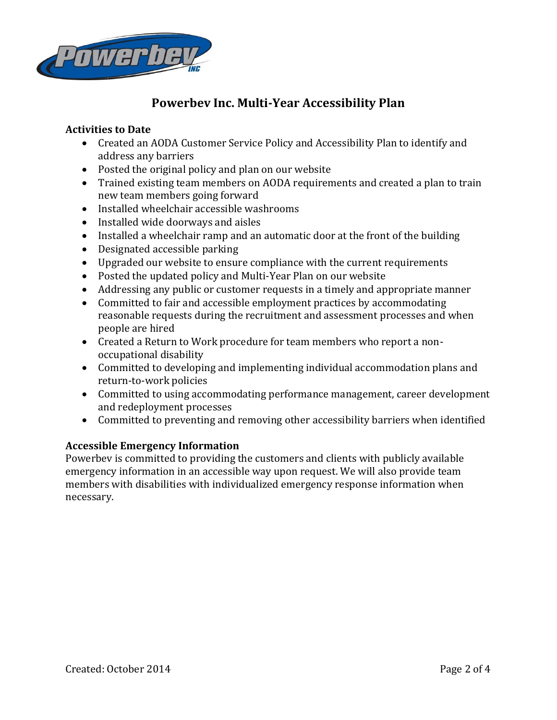

# **Activities to Date**

- Created an AODA Customer Service Policy and Accessibility Plan to identify and address any barriers
- Posted the original policy and plan on our website
- Trained existing team members on AODA requirements and created a plan to train new team members going forward
- Installed wheelchair accessible washrooms
- Installed wide doorways and aisles
- Installed a wheelchair ramp and an automatic door at the front of the building
- Designated accessible parking
- Upgraded our website to ensure compliance with the current requirements
- Posted the updated policy and Multi-Year Plan on our website
- Addressing any public or customer requests in a timely and appropriate manner
- Committed to fair and accessible employment practices by accommodating reasonable requests during the recruitment and assessment processes and when people are hired
- Created a Return to Work procedure for team members who report a nonoccupational disability
- Committed to developing and implementing individual accommodation plans and return-to-work policies
- Committed to using accommodating performance management, career development and redeployment processes
- Committed to preventing and removing other accessibility barriers when identified

## **Accessible Emergency Information**

Powerbev is committed to providing the customers and clients with publicly available emergency information in an accessible way upon request. We will also provide team members with disabilities with individualized emergency response information when necessary.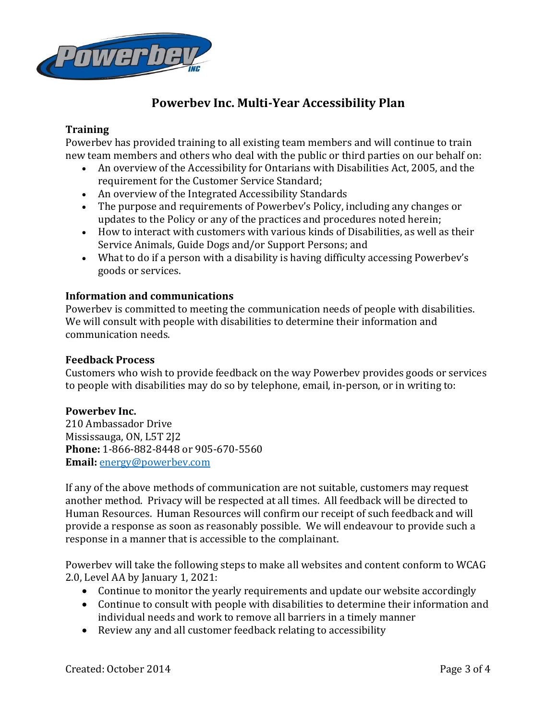

### **Training**

Powerbev has provided training to all existing team members and will continue to train new team members and others who deal with the public or third parties on our behalf on:

- An overview of the Accessibility for Ontarians with Disabilities Act, 2005, and the requirement for the Customer Service Standard;
- An overview of the Integrated Accessibility Standards
- The purpose and requirements of Powerbev's Policy, including any changes or updates to the Policy or any of the practices and procedures noted herein;
- How to interact with customers with various kinds of Disabilities, as well as their Service Animals, Guide Dogs and/or Support Persons; and
- What to do if a person with a disability is having difficulty accessing Powerbev's goods or services.

### **Information and communications**

Powerbev is committed to meeting the communication needs of people with disabilities. We will consult with people with disabilities to determine their information and communication needs.

### **Feedback Process**

Customers who wish to provide feedback on the way Powerbev provides goods or services to people with disabilities may do so by telephone, email, in-person, or in writing to:

### **Powerbev Inc.**

210 Ambassador Drive Mississauga, ON, L5T 2J2 **Phone:** 1-866-882-8448 or 905-670-5560 **Email:** [energy@powerbev.com](mailto:energy@powerbev.com)

If any of the above methods of communication are not suitable, customers may request another method. Privacy will be respected at all times. All feedback will be directed to Human Resources. Human Resources will confirm our receipt of such feedback and will provide a response as soon as reasonably possible. We will endeavour to provide such a response in a manner that is accessible to the complainant.

Powerbev will take the following steps to make all websites and content conform to WCAG 2.0, Level AA by January 1, 2021:

- Continue to monitor the yearly requirements and update our website accordingly
- Continue to consult with people with disabilities to determine their information and individual needs and work to remove all barriers in a timely manner
- Review any and all customer feedback relating to accessibility